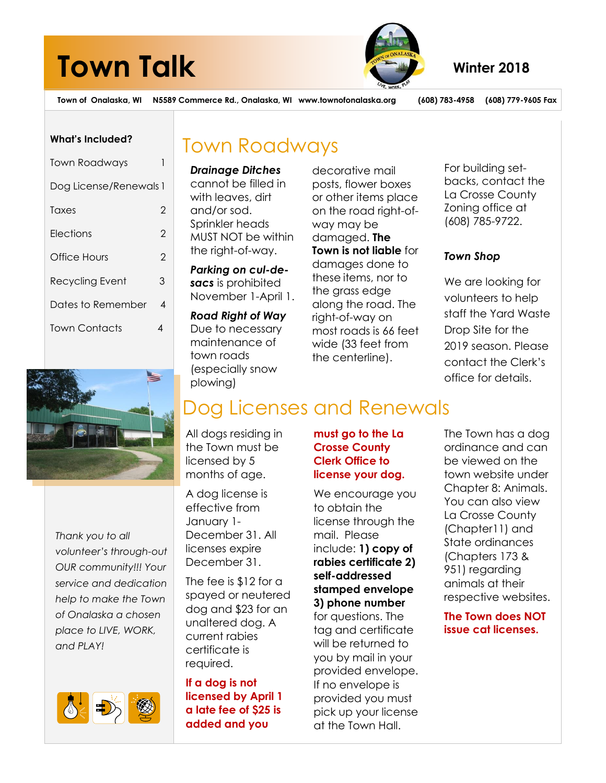# **Town Talk** Winter 2018



**Town of Onalaska, WI N5589 Commerce Rd., Onalaska, WI www.townofonalaska.org (608) 783-4958 (608) 779-9605 Fax**

#### **What's Included?**

| Town Roadways          |   |
|------------------------|---|
| Dog License/Renewals 1 |   |
| Taxes                  | 2 |
| Elections              | 2 |
| Office Hours           | 2 |
| Recycling Event        | 3 |
| Dates to Remember      | 4 |
| <b>Town Contacts</b>   |   |



*Thank you to all volunteer's through-out OUR community!!! Your service and dedication help to make the Town of Onalaska a chosen place to LIVE, WORK, and PLAY!*



### Town Roadways

*Drainage Ditches* cannot be filled in with leaves, dirt and/or sod. Sprinkler heads MUST NOT be within the right-of-way.

*Parking on cul-desacs* is prohibited November 1-April 1.

*Road Right of Way* Due to necessary maintenance of town roads (especially snow plowing)

decorative mail posts, flower boxes or other items place on the road right-ofway may be damaged. **The Town is not liable** for damages done to these items, nor to the grass edge along the road. The right-of-way on most roads is 66 feet wide (33 feet from the centerline).

For building setbacks, contact the La Crosse County Zoning office at (608) 785-9722.

#### *Town Shop*

We are looking for volunteers to help staff the Yard Waste Drop Site for the 2019 season. Please contact the Clerk's office for details.

## Dog Licenses and Renewals

All dogs residing in the Town must be licensed by 5 months of age.

A dog license is effective from January 1- December 31. All licenses expire December 31.

The fee is \$12 for a spayed or neutered dog and \$23 for an unaltered dog. A current rabies certificate is required.

**If a dog is not licensed by April 1 a late fee of \$25 is added and you**

**must go to the La Crosse County Clerk Office to license your dog.**

We encourage you to obtain the license through the mail. Please include: **1) copy of rabies certificate 2) self-addressed stamped envelope 3) phone number** for questions. The tag and certificate will be returned to you by mail in your provided envelope. If no envelope is provided you must pick up your license at the Town Hall.

The Town has a dog ordinance and can be viewed on the town website under Chapter 8: Animals. You can also view La Crosse County (Chapter11) and State ordinances (Chapters 173 & 951) regarding animals at their respective websites.

**The Town does NOT issue cat licenses.**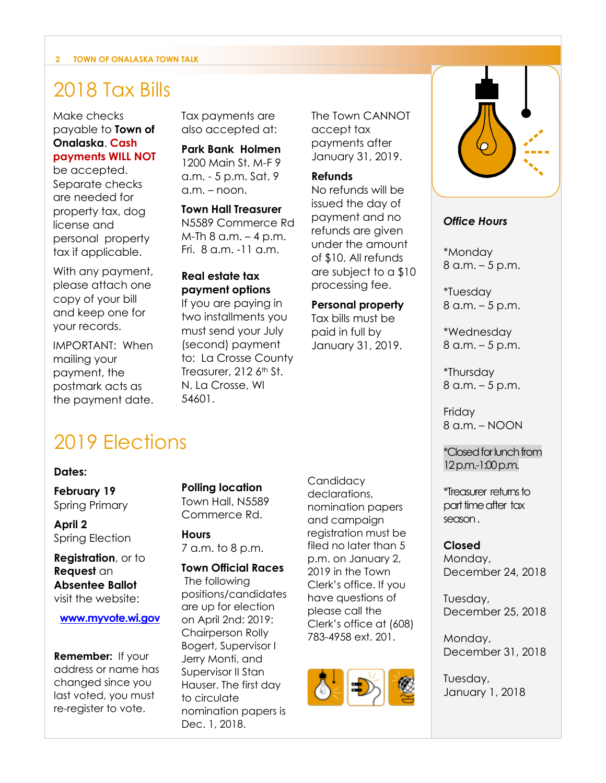#### **2 TOWN OF ONALASKA TOWN TALK**

### 2018 Tax Bills

Make checks payable to **Town of Onalaska**. **Cash payments WILL NOT**

### be accepted.

Separate checks are needed for property tax, dog license and personal property tax if applicable.

With any payment, please attach one copy of your bill and keep one for your records.

IMPORTANT: When mailing your payment, the postmark acts as the payment date. Tax payments are also accepted at:

**Park Bank Holmen** 1200 Main St. M-F 9 a.m. - 5 p.m. Sat. 9 a.m. – noon.

**Town Hall Treasurer** N5589 Commerce Rd  $M$ -Th 8 a.m.  $-$  4 p.m. Fri. 8 a.m. -11 a.m.

#### **Real estate tax payment options**

If you are paying in two installments you must send your July (second) payment to: La Crosse County Treasurer, 212 6<sup>th</sup> St. N. La Crosse, WI 54601.

The Town CANNOT accept tax payments after January 31, 2019.

#### **Refunds**

No refunds will be issued the day of payment and no refunds are given under the amount of \$10. All refunds are subject to a \$10 processing fee.

#### **Personal property**

Tax bills must be paid in full by January 31, 2019.



#### *Office Hours*

\*Monday 8 a.m. – 5 p.m.

\*Tuesday 8 a.m. – 5 p.m.

\*Wednesday 8 a.m. – 5 p.m.

\*Thursday 8 a.m. – 5 p.m.

Friday 8 a.m. – NOON

\*Closed for lunch from 12 p.m.-1:00 p.m.

\*Treasurer returns to part time after tax season .

#### **Closed**

Monday, December 24, 2018

Tuesday, December 25, 2018

Monday, December 31, 2018

Tuesday, January 1, 2018

### 2019 Elections

#### **Dates:**

**February 19** Spring Primary

**April 2** Spring Election

**Registration**, or to **Request** an **Absentee Ballot** visit the website:

**[www.myvote.wi.gov](http://www.myvote.wi.gov/)**

**Remember:** If your address or name has changed since you last voted, you must re-register to vote.

**Polling location** Town Hall, N5589

Commerce Rd.

**Hours** 7 a.m. to 8 p.m.

**Town Official Races** The following positions/candidates are up for election on April 2nd: 2019: Chairperson Rolly Bogert, Supervisor I

Jerry Monti, and Supervisor II Stan Hauser. The first day to circulate nomination papers is Dec. 1, 2018.

**Candidacy** declarations, nomination papers and campaign registration must be filed no later than 5 p.m. on January 2, 2019 in the Town Clerk's office. If you have questions of please call the Clerk's office at (608) 783-4958 ext. 201.

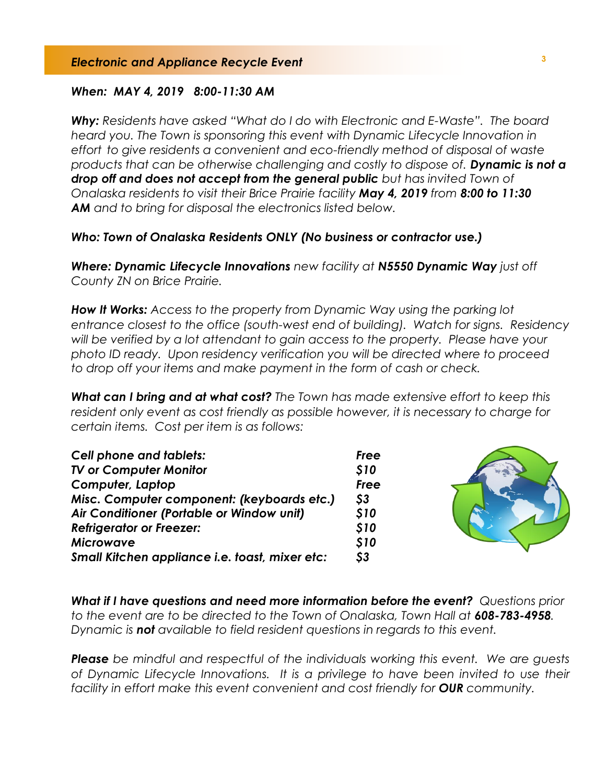#### *When: MAY 4, 2019 8:00-11:30 AM*

*Why: Residents have asked "What do I do with Electronic and E-Waste". The board heard you. The Town is sponsoring this event with Dynamic Lifecycle Innovation in effort to give residents a convenient and eco-friendly method of disposal of waste products that can be otherwise challenging and costly to dispose of. Dynamic is not a drop off and does not accept from the general public but has invited Town of Onalaska residents to visit their Brice Prairie facility May 4, 2019 from 8:00 to 11:30 AM and to bring for disposal the electronics listed below.* 

#### *Who: Town of Onalaska Residents ONLY (No business or contractor use.)*

*Where: Dynamic Lifecycle Innovations new facility at N5550 Dynamic Way just off County ZN on Brice Prairie.* 

*How It Works: Access to the property from Dynamic Way using the parking lot entrance closest to the office (south-west end of building). Watch for signs. Residency will be verified by a lot attendant to gain access to the property. Please have your photo ID ready. Upon residency verification you will be directed where to proceed to drop off your items and make payment in the form of cash or check.*

*What can I bring and at what cost? The Town has made extensive effort to keep this resident only event as cost friendly as possible however, it is necessary to charge for certain items. Cost per item is as follows:*

| <b>Cell phone and tablets:</b>                 | Free                      |  |
|------------------------------------------------|---------------------------|--|
| <b>TV or Computer Monitor</b>                  | <b>S10</b>                |  |
| Computer, Laptop                               | Free                      |  |
| Misc. Computer component: (keyboards etc.)     | $\boldsymbol{\mathsf{S}}$ |  |
| Air Conditioner (Portable or Window unit)      | <b>S10</b>                |  |
| <b>Refrigerator or Freezer:</b>                | <b>S10</b>                |  |
| <b>Microwave</b>                               | <b>S10</b>                |  |
| Small Kitchen appliance i.e. toast, mixer etc: | \$3                       |  |

*What if I have questions and need more information before the event? Questions prior to the event are to be directed to the Town of Onalaska, Town Hall at 608-783-4958. Dynamic is not available to field resident questions in regards to this event.*

*Please be mindful and respectful of the individuals working this event. We are guests of Dynamic Lifecycle Innovations. It is a privilege to have been invited to use their facility in effort make this event convenient and cost friendly for OUR community.*